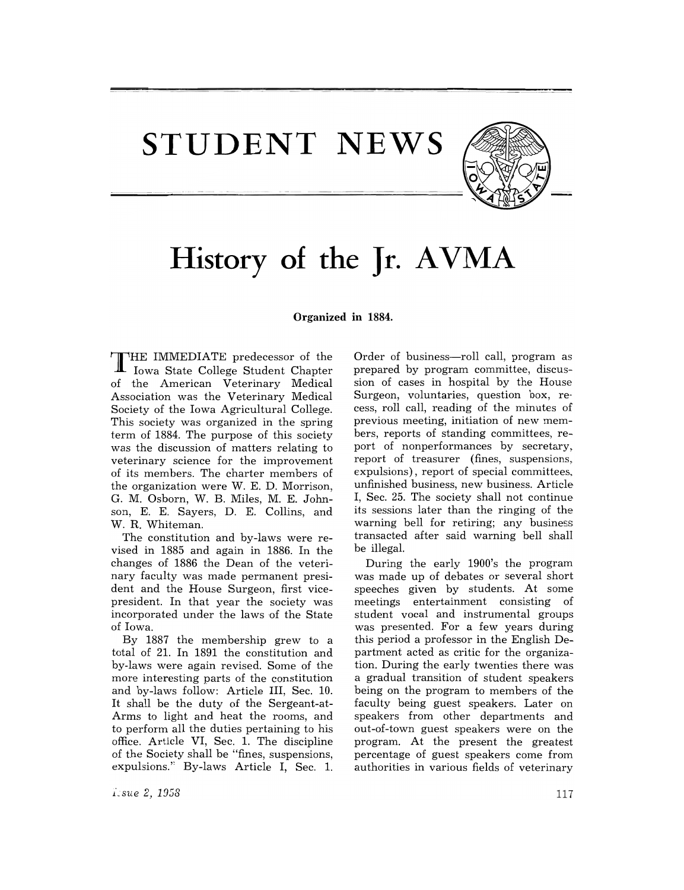**STUDENT NEWS** 



# History of the Jr. AVMA

### Organized **in** 1884.

T HE IMMEDIATE predecessor of the Iowa State College Student Chapter of the American Veterinary Medical Association was the Veterinary Medical Society of the Iowa Agricultural College. This society was organized in the spring term of 1884. The purpose of this society was the discussion of matters relating to veterinary science for the improvement of its members. The charter members of the organization were W. E. D. Morrison, G. M. Osborn, W. B. Miles, M. E. Johnson, E. E. Sayers, D. E. Collins, and W. R. Whiteman.

The constitution and by-laws were revised in 1885 and again in 1886. In the changes of 1886 the Dean of the veterinary faculty was made permanent president and the House Surgeon, first vicepresident. In that year the society was incorporated under the laws of the State of Iowa.

By 1887 the membership grew to a total of 21. In 1891 the constitution and by-laws were again revised. Some of the more interesting parts of the constitution and by-laws follow: Article III, Sec. 10. It shall be the duty of the Sergeant-at-Arms to light and heat the rooms, and to perform all the duties pertaining to his office. Article VI, Sec. 1. The discipline of the Society shall be "fines, suspensions, expulsions." By-laws Article I, Sec. 1.

prepared by program committee, discussion of cases in hospital by the House Surgeon, voluntaries, question box, recess, roll call, reading of the minutes of previous meeting, initiation of new members, reports of standing committees, report of nonperformances by secretary, report of treasurer (fines, suspensions, expulsions), report of special committees, unfinished business, new business. Article I, Sec. 25. The society shall not continue its sessions later than the ringing of the warning bell for retiring; any business transacted after said warning bell shall be illegal.

Order of business—roll call, program as

During the early 1900's the program was made up of debates or several short speeches given by students. At some meetings entertainment consisting of student vocal and instrumental groups was presented. For a few years during this period a professor in the English Department acted as critic for the organization. During the early twenties there was a gradual transition of student speakers being on the program to members of the faculty being guest speakers. Later on speakers from other departments and out-of-town guest speakers were on the program. At the present the greatest percentage of guest speakers come from authorities in various fields of veterinary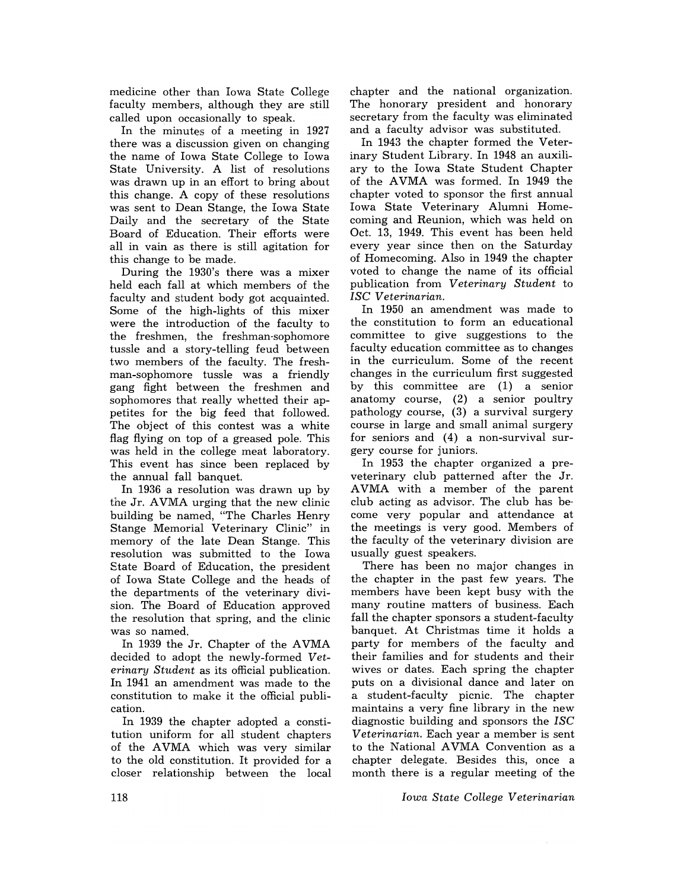medicine other than Iowa State College faculty members, although they are still called upon occasionally to speak.

In the minutes of a meeting in 1927 there was a discussion given on changing the name of Iowa State College to Iowa State University. A list of resolutions was drawn up in an effort to bring about this change. A copy of these resolutions was sent to Dean Stange, the Iowa State Daily and the secretary of the State Board of Education. Their efforts were all in vain as there is still agitation for this change to be made.

During the 1930's there was a mixer held each fall at which members of the faculty and student body got acquainted. Some of the high-lights of this mixer were the introduction of the faculty to the freshmen, the freshman-sophomore tussle and a story-telling feud between two members of the faculty. The freshman-sophomore tussle was a friendly gang fight between the freshmen and sophomores that really whetted their appetites for the big feed that followed. The object of this contest was a white flag flying on top of a greased pole. This was held in the college meat laboratory. This event has since been replaced by the annual fall banquet.

In 1936 a resolution was drawn up by the Jr. AVMA urging that the new clinic building be named, "The Charles Henry Stange Memorial Veterinary Clinic" in memory of the late Dean Stange. This resolution was submitted to the Iowa State Board of Education, the president of Iowa State College and the heads of the departments of the veterinary division. The Board of Education approved the resolution that spring, and the clinic was so named.

In 1939 the Jr. Chapter of the AVMA decided to adopt the newly-formed *Veterinary Student* as its official publication. In 1941 an amendment was made to the constitution to make it the official publication.

In 1939 the chapter adopted a constitution uniform for all student chapters of the AVMA which was very similar to the old constitution. It provided for a closer relationship between the local chapter and the national organization. The honorary president and honorary secretary from the faculty was eliminated and a faculty advisor was substituted.

In 1943 the chapter formed the Veterinary Student Library. In 1948 an auxiliary to the Iowa State Student Chapter of the AVMA was formed. In 1949 the chapter voted to sponsor the first annual Iowa State Veterinary Alumni Homecoming and Reunion, which was held on Oct. 13, 1949. This event has been held every year since then on the Saturday of Homecoming. Also in 1949 the chapter voted to change the name of its official publication from *Veterinary Student* to *ISC Veterinarian.* 

In 1950 an amendment was made to the constitution to form an educational committee to give suggestions to the faculty education committee as to changes in the curriculum. Some of the recent changes in the curriculum first suggested by this committee are (1) a senior anatomy course, (2) a senior poultry pathology.course, (3) a survival surgery course in large and small animal surgery for seniors and (4) a non-survival surgery course for juniors.

In 1953 the chapter organized a preveterinary club patterned after the Jr. AVMA with a member of the parent club acting as advisor. The club has be· come very popular and attendance at the meetings is very good. Members of the faculty of the veterinary division are usually guest speakers.

There has been no major changes in the chapter in the past few years. The members have been kept busy with the many routine matters of business. Each fall the chapter sponsors a student-faculty banquet. At Christmas time it holds a party for members of the faculty and their families and for students and their wives or dates. Each spring the chapter puts on a divisional dance and later on a student-faculty picnic. The chapter maintains a very fine library in the new diagnostic building and sponsors the *ISC Veterinarian.* Each year a member is sent to the National AVMA Convention as a chapter delegate. Besides this, once a month there is a regular meeting of the

*Iow'a State College Veterinarian*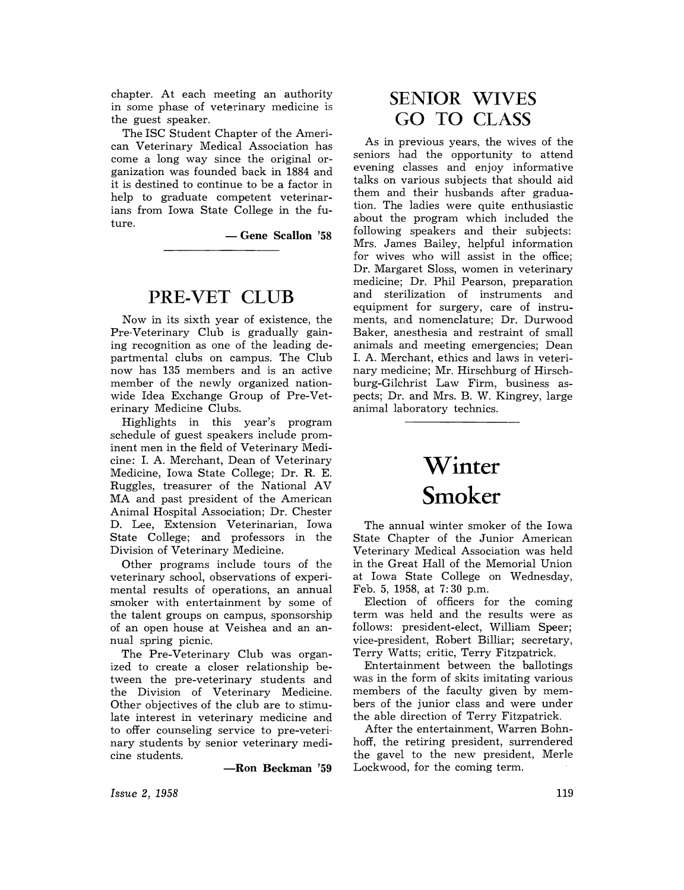chapter. At each meeting an authority in some phase of veterinary medicine is the guest speaker.

The ISC Student Chapter of the American Veterinary Medical Association has come a long way since the original organization was founded back in 1884 and it is destined to continue to be a factor in help to graduate competent veterinarians from Iowa State College in the future.

- Gene Scallon '58

### PRE-VET CLUB

Now in its sixth year of existence, the Pre-Veterinary Club is gradually gaining recognition as one of the leading departmental clubs on campus. The Club now has 135 members and is an active member of the newly organized nationwide Idea Exchange Group of Pre-Veterinary Medicine Clubs.

Highlights in this year's program schedule of guest speakers include prominent men in the field of Veterinary Medicine: 1. A. Merchant, Dean of Veterinary Medicine, Iowa State College; Dr. R. E. Ruggles, treasurer of the National AV MA and past president of the American Animal Hospital Association; Dr. Chester D. Lee, Extension Veterinarian, Iowa State College; and professors in the Division of Veterinary Medicine.

Other programs include tours of the veterinary school, observations of experimental results of operations, an annual smoker with entertainment by some of the talent groups on campus, sponsorship of an open house at Veishea and an annual spring picnic.

The Pre-Veterinary Club was organized to create a closer relationship between the pre-veterinary students and the Division of Veterinary Medicine. Other objectives of the club are to stimulate interest in veterinary medicine and to offer counseling service to pre-veterinary students by senior veterinary medicine students.

-Ron Beckman '59

*Issue* 2, 1958

### SENIOR WIVES GO TO CLASS

As in previous years, the wives of the seniors had the opportunity to attend evening classes and enjoy informative talks on various subjects that should aid them and their husbands after graduation. The ladies were quite enthusiastic about the program which included the following speakers and their subjects: Mrs. James Bailey, helpful information for wives who will assist in the office; Dr. Margaret Sloss, women in veterinary medicine; Dr. Phil Pearson, preparation and sterilization of instruments and equipment for surgery, care of instruments, and nomenclature; Dr. Durwood Baker, anesthesia and restraint of small animals and meeting emergencies; Dean 1. A. Merchant, ethics and laws in veterinary medicine; Mr. Hirschburg of Hirschburg-Gilchrist Law Firm, business aspects; Dr. and Mrs. B. W. Kingrey, large animal laboratory technics.

## Winter **Smoker**

The annual winter smoker of the Iowa State Chapter of the Junior American Veterinary Medical Association was held in the Great Hall of the Memorial Union at Iowa State College on Wednesday, Feb. 5, 1958, at 7: 30 p.m.

Election of officers for the coming term was held and the results were as follows: president-elect, William Speer; vice-president, Robert Billiar; secretary, Terry Watts; critic, Terry Fitzpatrick.

Entertainment between the ballotings was in the form of skits imitating various members of the faculty given by members of the junior class and were under the able direction of Terry Fitzpatrick.

After the entertainment, Warren Bohnhoff, the retiring president, surrendered the gavel to the new president, Merle Lockwood, for the coming term.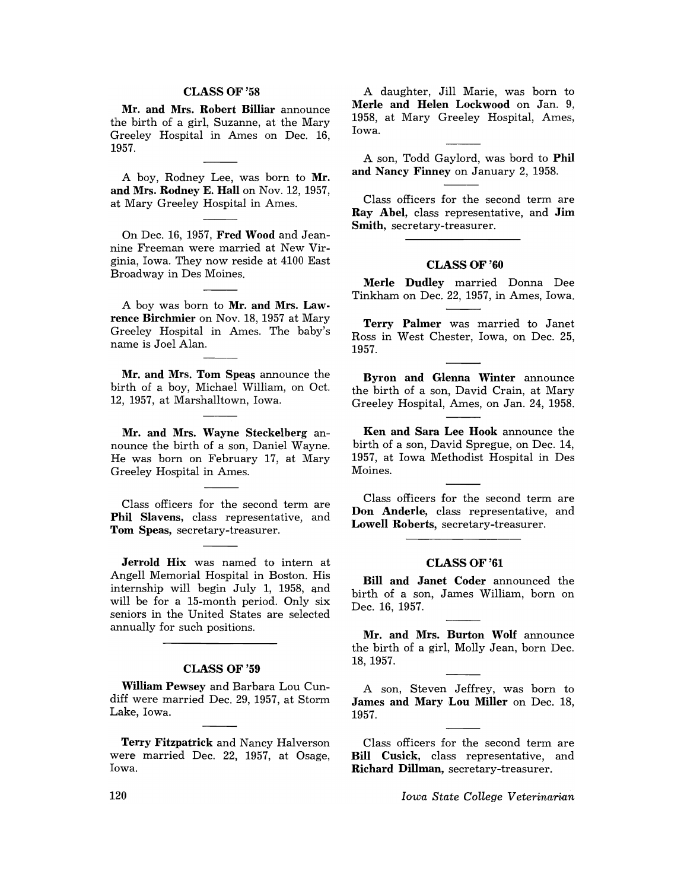### CLASSOF'58

Mr. and Mrs. Robert Billiar announce the birth of a girl, Suzanne, at the Mary Greeley Hospital in Ames on Dec. 16, 1957.

A boy, Rodney Lee, was born to Mr. and Mrs. Rodney E. Hall on Nov. 12,1957, at Mary Greeley Hospital in Ames.

On Dec. 16, 1957, Fred Wood and Jeannine Freeman were married at New Virginia, Iowa. They now reside at 4100 East Broadway in Des Moines.

A boy was born to Mr. and Mrs. Lawrence Birchmier on Nov. 18, 1957 at Mary Greeley Hospital in Ames. The baby's name is Joel Alan.

Mr. and Mrs. Tom Speas announce the birth of a boy, Michael William, on Oct. 12, 1957, at Marshalltown, Iowa.

Mr. and Mrs. Wayne Steckelberg announce the birth of a son, Daniel Wayne. He was born on February 17, at Mary Greeley Hospital in Ames.

Class officers for the second term are Phil Slavens, class representative, and Tom Speas, secretary-treasurer.

Jerrold Hix was named to intern at Angell Memorial Hospital in Boston. His internship will begin July 1, 1958, and will be for a 15-month period. Only six seniors in the United States are selected annually for such positions.

### CLASS OF '59

William Pewsey and Barbara Lou Cundiff were married Dec. 29, 1957, at Storm Lake, Iowa.

Terry Fitzpatrick and Nancy Halverson were married Dec. 22, 1957, at Osage, Iowa.

A daughter, Jill Marie, was born to Merle and Helen Lockwood on Jan. 9, 1958, at Mary Greeley Hospital, Ames, Iowa.

A son, Todd Gaylord, was bord to Phil and Nancy Finney on January 2, 1958.

Class officers for the second term are Ray Abel, class representative, and Jim Smith, secretary-treasurer.

### CLASS OF '60

Merle Dudley married Donna Dee Tinkham on Dec. 22,1957, in Ames, Iowa.

Terry Palmer was married to Janet Ross in West Chester, Iowa, on Dec. 25, 1957.

Byron and Glenna Winter announce the birth of a son, David Crain, at Mary Greeley Hospital, Ames, on Jan. 24, 1958.

Ken and Sara Lee Hook announce the birth of a son, David Spregue, on Dec. 14, 1957, at Iowa Methodist Hospital in Des Moines.

Class officers for the second term are Don Anderle, class representative, and Lowell Roberts, secretary-treasurer.

### CLASSOF'61

Bill and Janet Coder announced the birth of a son, James William, born on Dec. 16, 1957.

Mr. and Mrs. Burton Wolf announce the birth of a girl, Molly Jean, born Dec. 18,1957.

A son, Steven Jeffrey, was born to James and Mary Lou Miller on Dec. 18, 1957.

Class officers for the second term are Bill Cusick, class representative, and Richard Dillman, secretary-treasurer.

 $Iowa State College Vectorian$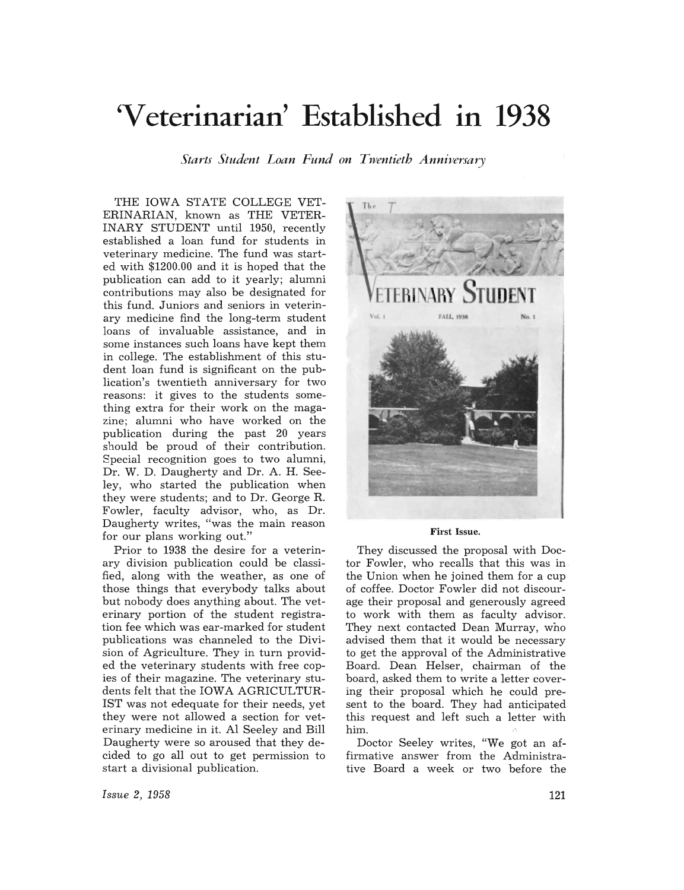# **'Veterinarian' Established** • **In 1938**

*Starts Student Loan Fund on Twentieth Anniversary* 

THE IOWA STATE COLLEGE VET-ERINARIAN, known as THE VETER-INARY STUDENT until 1950, recently established a loan fund for students in veterinary medicine. The fund was started with \$1200.00 and it is hoped that the publication can add to it yearly; alumni contributions may also be designated for this fund. Juniors and seniors in veterinary medicine find the long-term student loans of invaluable assistance, and in some instances such loans have kept them in college. The establishment of this student loan fund is significant on the publication's twentieth anniversary for two reasons: it gives to the students something extra for their work on the magazine; alumni who have worked on the publication during the past 20 years should be proud of their contribution. Special recognition goes to two alumni, Dr. W. D. Daugherty and Dr. A. H. Seeley, who started the publication when they were students; and to Dr. George R. Fowler, faculty advisor, who, as Dr. Daugherty writes, "was the main reason for our plans working out."

Prior to 1938 the desire for a veterinary division publication could be classified, along with the weather, as one of those things that everybody talks about but nobody does anything about. The veterinary portion of the student registration fee which was ear-marked for student publications was channeled to the Division of Agriculture. They in turn provided the veterinary students with free copies of their magazine. The veterinary students felt that the IOWA AGRICULTUR-IST was not edequate for their needs, yet they were not allowed a section for veterinary medicine in it. Al Seeley and Bill Daugherty were so aroused that they decided to go all out to get permission to start a divisional publication.



#### First Issue.

They discussed the proposal with Doctor Fowler, who recalls that this was in the Union when he joined them for a cup of coffee. Doctor Fowler did not discourage their proposal and generously agreed to work with them as faculty advisor. They next contacted Dean Murray, who advised them that it would be necessary to get the approval of the Administrative Board. Dean Helser, chairman of the board, asked them to write a letter covering their proposal which he could present to the board. They had anticipated this request and left such a letter with him.

Doctor Seeley writes, "We got an affirmative answer from the Administrative Board a week or two before the

*Issue* 2, 1958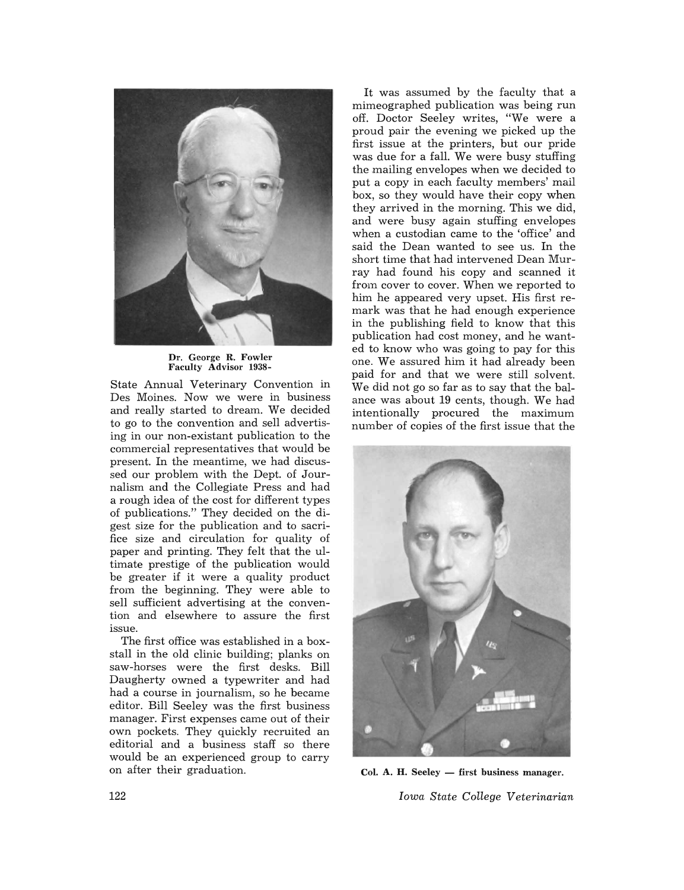

Dr. George R. Fowler Faculty Advisor 1938-

State Annual Veterinary Convention in Des Moines. Now we were in business and really started to dream. We decided to go to the convention and sell advertising in our non-existant publication to the commercial representatives that would be present. In the meantime, we had discussed our problem with the Dept. of Journalism and the Collegiate Press and had a rough idea of the cost for different types of publications." They decided on the digest size for the publication and to sacrifice size and circulation for quality of paper and printing. They felt that the ultimate prestige of the publication would be greater if it were a quality product from the beginning. They were able to sell sufficient advertising at the convention and elsewhere to assure the first issue.

The first office was established in a boxstall in the old clinic building; planks on saw-horses were the first desks. Bill Daugherty owned a typewriter and had had a course in journalism, so he became editor. Bill Seeley was the first business manager. First expenses came out of their own pockets. They quickly recruited an editorial and a business staff so there would be an experienced group to carry on after their graduation.

It was assumed by the faculty that a mimeographed publication was being run off. Doctor Seeley writes, "We were a proud pair the evening we picked up the first issue at the printers, but our pride was due for a fall. We were busy stuffing the mailing envelopes when we decided to put a copy in each faculty members' mail box, so they would have their copy when they arrived in the morning. This we did, and were busy again stuffing envelopes when a custodian came to the 'office' and said the Dean wanted to see us. In the short time that had intervened Dean Murray had found his copy and scanned it from cover to cover. When we reported to him he appeared very upset. His first remark was that he had enough experience in the publishing field to know that this publication had cost money, and he wanted to know who was going to pay for this one. We assured him it had already been paid for and that we were still solvent. We did not go so far as to say that the balance was about 19 cents, though. We had intentionally procured the maximum number of copies of the first issue that the



Col. A. H. Seeley - first business manager. *Iowa State College Veterinarian*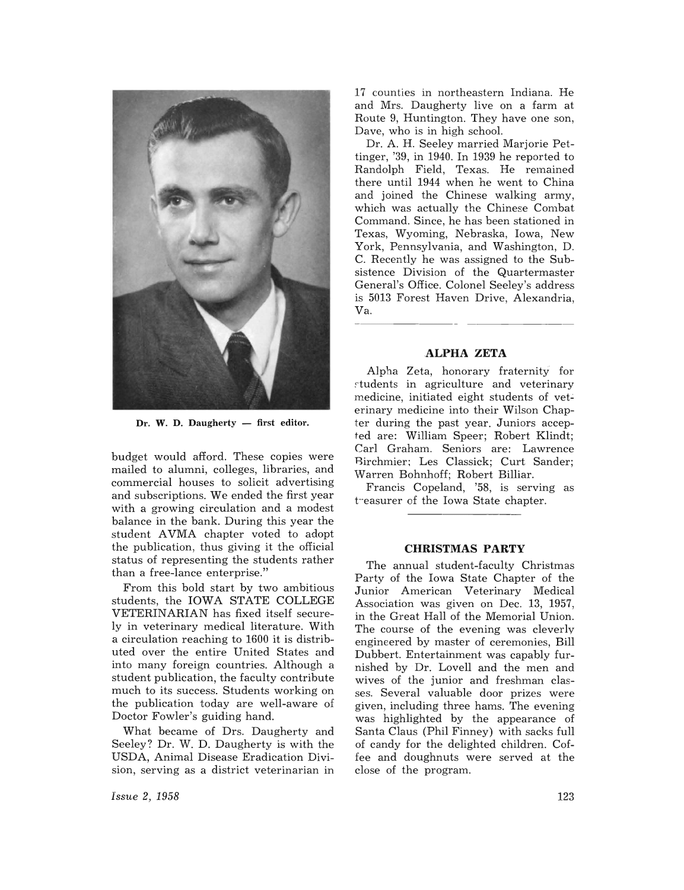

 $Dr.$  W. D. Daugherty  $-$  first editor.

budget would afford. These copies were mailed to alumni, colleges, libraries, and commercial houses to solicit advertising and subscriptions. We ended the first year with a growing circulation and a modest balance in the bank. During this year the student AVMA chapter voted to adopt the publication, thus giving it the official status of representing the students rather than a free-lance enterprise."

From this bold start by two ambitious students, the IOWA STATE COLLEGE VETERINARIAN has fixed itself securely in veterinary medical literature. With a circulation reaching to 1600 it is distributed over the entire United States and into many foreign countries. Although a student publication, the faculty contribute much to its success. Students working on the publication today are well-aware of Doctor Fowler's guiding hand.

What became of Drs. Daugherty and Seeley? Dr. W. D. Daugherty is with the USDA, Animal Disease Eradication Division, serving as a district veterinarian in

*Issue* 2, 1958

17 counties in northeastern Indiana. He and Mrs. Daugherty live on a farm at Route 9, Huntington. They have one son, Dave, who is in high school.

Dr. A. H. Seeley married Marjorie Pettinger, '39, in 1940. In 1939 he reported to Randolph Field, Texas. He remained there until 1944 when he went to China and joined the Chinese walking army, which was actually the Chinese Combat Command. Since, he has been stationed in Texas, Wyoming, Nebraska, Iowa, New York, Pennsylvania, and Washington, D. C. Recently he was assigned to the Subsistence Division of the Quartermaster General's Office. Colonel Seeley's address is 5013 Forest Haven Drive, Alexandria, Va.

### **ALPHA ZETA**

Alpha Zeta, honorary fraternity for , tudents in agriculture and veterinary medicine, initiated eight students of veterinary medicine into their Wilson Chapter during the past year. Juniors accepted are: William Speer; Robert Klindt; Carl Graham. Seniors are: Lawrence Birchmier; Les Classick; Curt Sander; Warren Bohnhoff; Robert Billiar.

Francis Copeland, '58, is serving as treasurer of the Iowa State chapter.

### **CHRISTMAS PARTY**

The annual student-faculty Christmas Party of the Iowa State Chapter of the Junior American Veterinary Medical Association was given on Dec. 13, 1957, in the Great Hall of the Memorial Union. The course of the evening was cleverly engineered by master of ceremonies, Bill Dubbert. Entertainment was capably furnished by Dr. Lovell and the men and wives of the junior and freshman classes. Several valuable door prizes were given, including three hams. The evening was highlighted by the appearance of Santa Claus (Phil Finney) with sacks full of candy for the delighted children. Coffee and doughnuts were served at the close of the program.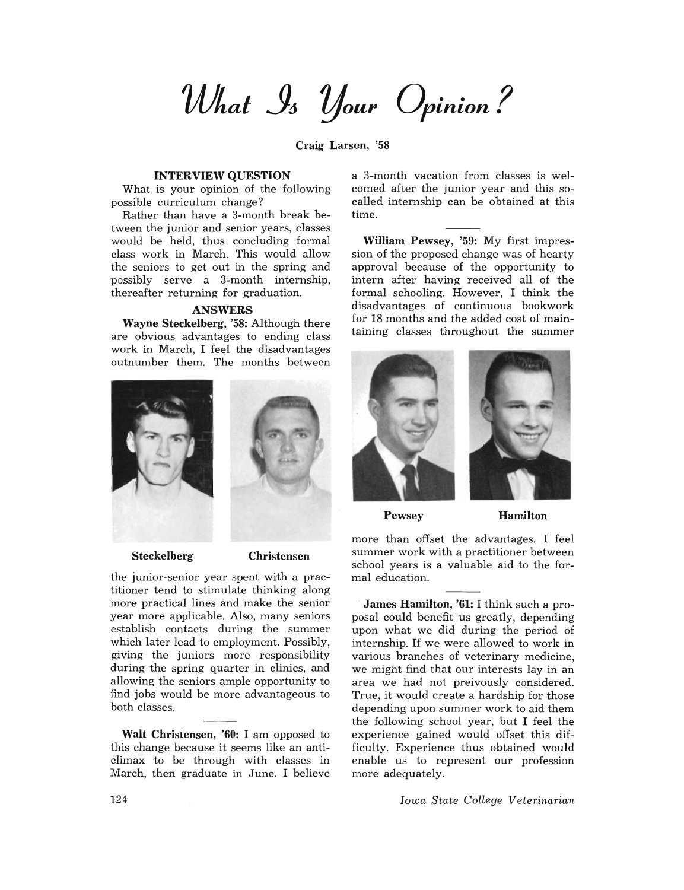*What*  $\mathcal{S}_3$  *Your Opinion?* 

Craig Larson, '58

### INTERVIEW QUESTION

What is your opinion of the following possible curriculum change?

Rather than have a 3-month break between the junior and senior years, classes would be held, thus concluding formal class work in March. This would allow the seniors to get out in the spring and possibly serve a 3-month internship, thereafter returning for graduation.

### ANSWERS

Wayne Steckelberg, '58: Although there are obvious advantages to ending class work in March, I feel the disadvantages outnumber them. The months between





Steckelberg Christensen

the junior-senior year spent with a practitioner tend to stimulate thinking along more practical lines and make the senior year more applicable. Also, many seniors establish contacts during the summer which later lead to employment. Possibly, giving the juniors more responsibility during the spring quarter in clinics, and allowing the seniors ample opportunity to find jobs would be more advantageous to both classes.

Walt Christensen, '60: I am opposed to this change because it seems like an anticlimax to be through with classes in March, then graduate in June. I believe a 3-month vacation from classes is welcomed after the junior year and this socalled internship can be obtained at this time.

William Pewsey, '59: My first impression of the proposed change was of hearty approval because of the opportunity to intern after having received all of the formal schooling. However, I think the disadvantages of continuous bookwork for 18 months and the added cost of maintaining classes throughout the summer





Pewsey Hamilton

more than offset the advantages. I feel summer work with a practitioner between school years is a valuable aid to the formal education.

James Hamilton, '61: I think such a proposal could benefit us greatly, depending upon what we did during the period of internship. If we were allowed to work in various branches of veterinary medicine, we might find that our interests lay in an area we had not preivously considered. True, it would create a hardship for those depending upon summer work to aid them the following school year, but I feel the experience gained would offset this difficulty. Experience thus obtained would enable us to represent our profession more adequately.

*Iowa State College Veterinarian*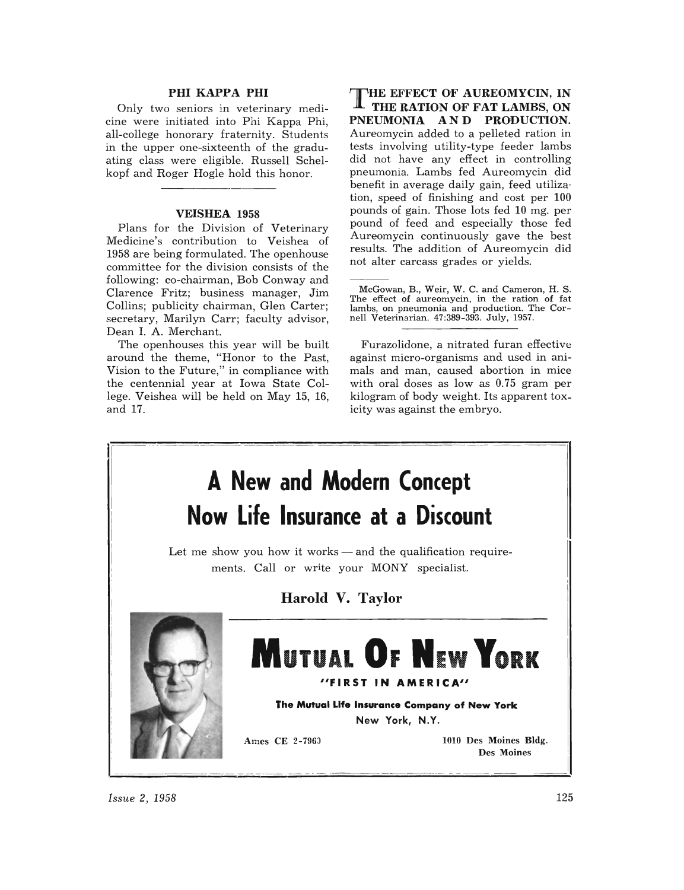### PHI KAPPA PHI

Only two seniors in veterinary medicine were initiated into Phi Kappa Phi, all-college honorary fraternity. Students in the upper one-sixteenth of the graduating class were eligible. Russell Schelkopf and Roger Hogle hold this honor.

### VEISHEA 1958

Plans for the Division of Veterinary Medicine's contribution to Veishea of 1958 are being formulated. The openhouse committee for the division consists of the following: co-chairman, Bob Conway and Clarence Fritz; business manager, Jim Collins; publicity chairman, Glen Carter; secretary, Marilyn Carr; faculty advisor, Dean 1. A. Merchant.

The openhouses this year will be built around the theme, "Honor to the Past, Vision to the Future," in compliance with the centennial year at Iowa State College. Veishea will be held on May 15, 16, and 17.

THE EFFECT OF AUREOMYCIN, IN  $\rm\,I\!\!\!I\!\!\!I$  the ration of fat lambs, on PNEUMONIA AND PRODUCTION. Aureomycin added to a pelleted ration in tests involving utility-type feeder lambs did not have any effect in controlling pneumonia. Lambs fed Aureomycin did benefit in average daily gain, feed utiliza· tion, speed of finishing and cost per 100 pounds of gain. Those lots fed 10 mg. per pound of feed and especially those fed Aureomycin continuously gave the best results. The addition of Aureomycin did not alter carcass grades or yields.

Furazolidone, a nitrated furan effective against micro-organisms and used in animals and man, caused abortion in mice with oral doses as low as 0.75 gram per kilogram of body weight. Its apparent toxicity was against the embryo.



*Issue 2, 1958* 125

McGowan, B., Weir, W. C. and Cameron, H. S. The effect of aureomycin, in the ration of fat lambs, on pneumonia and production. The Cornell Veterinarian. 47:389-393. July, 1957.